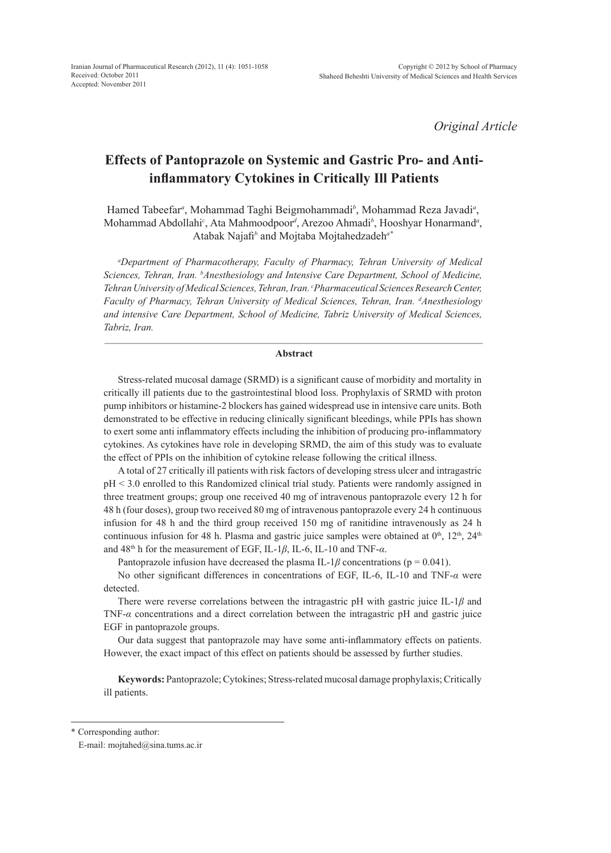*Original Article*

# **Effects of Pantoprazole on Systemic and Gastric Pro- and Antiinflammatory Cytokines in Critically Ill Patients**

Hamed Tabeefar*<sup>a</sup>* , Mohammad Taghi Beigmohammadi*<sup>b</sup>* , Mohammad Reza Javadi*<sup>a</sup>* , Mohammad Abdollahi*<sup>c</sup>* , Ata Mahmoodpoor*<sup>d</sup>* , Arezoo Ahmadi*<sup>b</sup>* , Hooshyar Honarmand*<sup>a</sup>* , Atabak Najafi*<sup>b</sup>* and Mojtaba Mojtahedzadeh*a\**

*a Department of Pharmacotherapy, Faculty of Pharmacy, Tehran University of Medical Sciences, Tehran, Iran. b Anesthesiology and Intensive Care Department, School of Medicine, Tehran University of Medical Sciences, Tehran, Iran. c Pharmaceutical Sciences Research Center, Faculty of Pharmacy, Tehran University of Medical Sciences, Tehran, Iran. d Anesthesiology and intensive Care Department, School of Medicine, Tabriz University of Medical Sciences, Tabriz, Iran.*

# **Abstract**

Stress-related mucosal damage (SRMD) is a significant cause of morbidity and mortality in critically ill patients due to the gastrointestinal blood loss. Prophylaxis of SRMD with proton pump inhibitors or histamine-2 blockers has gained widespread use in intensive care units. Both demonstrated to be effective in reducing clinically significant bleedings, while PPIs has shown to exert some anti inflammatory effects including the inhibition of producing pro-inflammatory cytokines. As cytokines have role in developing SRMD, the aim of this study was to evaluate the effect of PPIs on the inhibition of cytokine release following the critical illness.

A total of 27 critically ill patients with risk factors of developing stress ulcer and intragastric pH < 3.0 enrolled to this Randomized clinical trial study. Patients were randomly assigned in three treatment groups; group one received 40 mg of intravenous pantoprazole every 12 h for 48 h (four doses), group two received 80 mg of intravenous pantoprazole every 24 h continuous infusion for 48 h and the third group received 150 mg of ranitidine intravenously as 24 h continuous infusion for 48 h. Plasma and gastric juice samples were obtained at  $0<sup>th</sup>$ ,  $12<sup>th</sup>$ ,  $24<sup>th</sup>$ and 48th h for the measurement of EGF, IL-1*β*, IL-6, IL-10 and TNF-*α*.

Pantoprazole infusion have decreased the plasma IL-1 $\beta$  concentrations (p = 0.041).

No other significant differences in concentrations of EGF, IL-6, IL-10 and TNF-*α* were detected.

There were reverse correlations between the intragastric pH with gastric juice IL-1*β* and TNF-*α* concentrations and a direct correlation between the intragastric pH and gastric juice EGF in pantoprazole groups.

Our data suggest that pantoprazole may have some anti-inflammatory effects on patients. However, the exact impact of this effect on patients should be assessed by further studies.

**Keywords:** Pantoprazole; Cytokines; Stress-related mucosal damage prophylaxis; Critically ill patients.

\* Corresponding author:

E-mail: mojtahed@sina.tums.ac.ir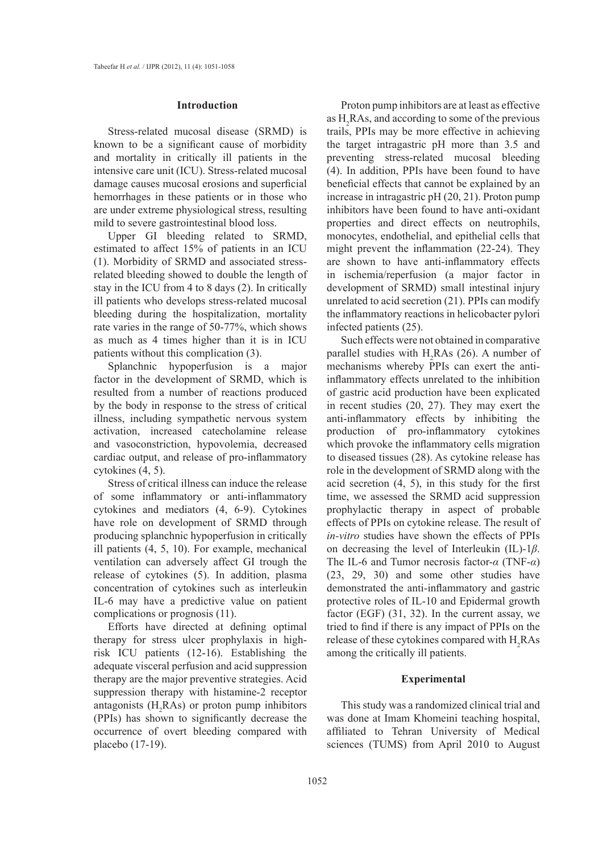## **Introduction**

Stress-related mucosal disease (SRMD) is known to be a significant cause of morbidity and mortality in critically ill patients in the intensive care unit (ICU). Stress-related mucosal damage causes mucosal erosions and superficial hemorrhages in these patients or in those who are under extreme physiological stress, resulting mild to severe gastrointestinal blood loss.

Upper GI bleeding related to SRMD, estimated to affect 15% of patients in an ICU (1). Morbidity of SRMD and associated stressrelated bleeding showed to double the length of stay in the ICU from 4 to 8 days (2). In critically ill patients who develops stress-related mucosal bleeding during the hospitalization, mortality rate varies in the range of 50-77%, which shows as much as 4 times higher than it is in ICU patients without this complication (3).

Splanchnic hypoperfusion is a major factor in the development of SRMD, which is resulted from a number of reactions produced by the body in response to the stress of critical illness, including sympathetic nervous system activation, increased catecholamine release and vasoconstriction, hypovolemia, decreased cardiac output, and release of pro-inflammatory cytokines (4, 5).

Stress of critical illness can induce the release of some inflammatory or anti-inflammatory cytokines and mediators (4, 6-9). Cytokines have role on development of SRMD through producing splanchnic hypoperfusion in critically ill patients (4, 5, 10). For example, mechanical ventilation can adversely affect GI trough the release of cytokines (5). In addition, plasma concentration of cytokines such as interleukin IL-6 may have a predictive value on patient complications or prognosis (11).

Efforts have directed at defining optimal therapy for stress ulcer prophylaxis in highrisk ICU patients (12-16). Establishing the adequate visceral perfusion and acid suppression therapy are the major preventive strategies. Acid suppression therapy with histamine-2 receptor antagonists  $(H_2 RAs)$  or proton pump inhibitors (PPIs) has shown to significantly decrease the occurrence of overt bleeding compared with placebo (17-19).

Proton pump inhibitors are at least as effective as  $H_2$ RAs, and according to some of the previous trails, PPIs may be more effective in achieving the target intragastric pH more than 3.5 and preventing stress-related mucosal bleeding (4). In addition, PPIs have been found to have beneficial effects that cannot be explained by an increase in intragastric pH (20, 21). Proton pump inhibitors have been found to have anti-oxidant properties and direct effects on neutrophils, monocytes, endothelial, and epithelial cells that might prevent the inflammation (22-24). They are shown to have anti-inflammatory effects in ischemia/reperfusion (a major factor in development of SRMD) small intestinal injury unrelated to acid secretion (21). PPIs can modify the inflammatory reactions in helicobacter pylori infected patients (25).

Such effects were not obtained in comparative parallel studies with  $H_2RAs$  (26). A number of mechanisms whereby PPIs can exert the antiinflammatory effects unrelated to the inhibition of gastric acid production have been explicated in recent studies (20, 27). They may exert the anti-inflammatory effects by inhibiting the production of pro-inflammatory cytokines which provoke the inflammatory cells migration to diseased tissues (28). As cytokine release has role in the development of SRMD along with the acid secretion (4, 5), in this study for the first time, we assessed the SRMD acid suppression prophylactic therapy in aspect of probable effects of PPIs on cytokine release. The result of *in-vitro* studies have shown the effects of PPIs on decreasing the level of Interleukin (IL)-1*β*. The IL-6 and Tumor necrosis factor-*α* (TNF-*α*) (23, 29, 30) and some other studies have demonstrated the anti-inflammatory and gastric protective roles of IL-10 and Epidermal growth factor (EGF) (31, 32). In the current assay, we tried to find if there is any impact of PPIs on the release of these cytokines compared with  $H_2$ RAs among the critically ill patients.

## **Experimental**

This study was a randomized clinical trial and was done at Imam Khomeini teaching hospital, affiliated to Tehran University of Medical sciences (TUMS) from April 2010 to August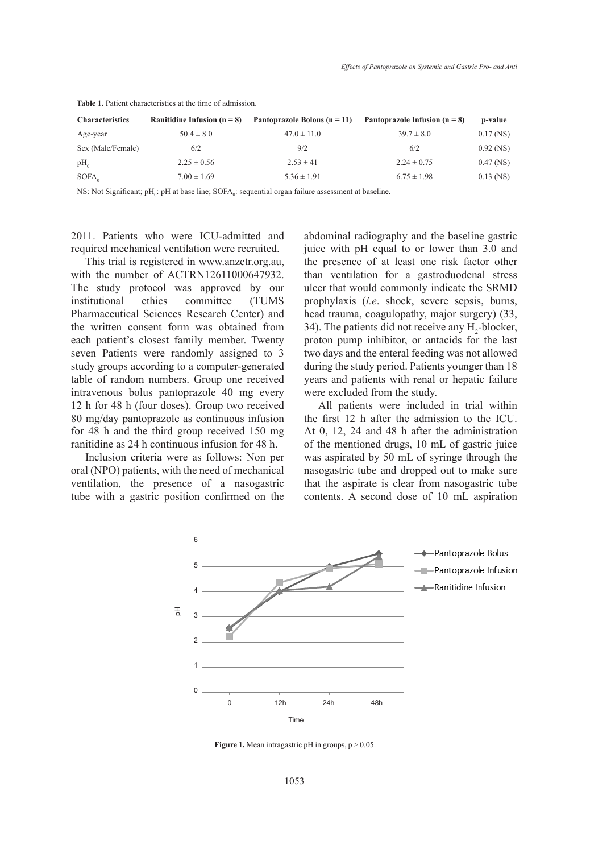| <b>Characteristics</b> | Ranitidine Infusion $(n = 8)$ | Pantoprazole Bolous ( $n = 11$ ) | Pantoprazole Infusion $(n = 8)$ | p-value     |
|------------------------|-------------------------------|----------------------------------|---------------------------------|-------------|
| Age-year               | $50.4 \pm 8.0$                | $47.0 \pm 11.0$                  | $39.7 \pm 8.0$                  | $0.17$ (NS) |
| Sex (Male/Female)      | 6/2                           | 9/2                              | 6/2                             | $0.92$ (NS) |
| $pH_0$                 | $2.25 \pm 0.56$               | $2.53 \pm 41$                    | $2.24 \pm 0.75$                 | $0.47$ (NS) |
| SOFA <sub>o</sub>      | $7.00 \pm 1.69$               | $5.36 \pm 1.91$                  | $6.75 \pm 1.98$                 | $0.13$ (NS) |

**Table 1.** Patient characteristics at the time of admission.

NS: Not Significant; pH<sub>0</sub>: pH at base line;  $SOPA_0$ : sequential organ failure assessment at baseline.

2011. Patients who were ICU-admitted and required mechanical ventilation were recruited.

This trial is registered in www.anzctr.org.au, with the number of ACTRN12611000647932. The study protocol was approved by our institutional ethics committee (TUMS Pharmaceutical Sciences Research Center) and the written consent form was obtained from each patient's closest family member. Twenty seven Patients were randomly assigned to 3 study groups according to a computer-generated table of random numbers. Group one received intravenous bolus pantoprazole 40 mg every 12 h for 48 h (four doses). Group two received 80 mg/day pantoprazole as continuous infusion for 48 h and the third group received 150 mg ranitidine as 24 h continuous infusion for 48 h.

Inclusion criteria were as follows: Non per oral (NPO) patients, with the need of mechanical ventilation, the presence of a nasogastric tube with a gastric position confirmed on the abdominal radiography and the baseline gastric juice with pH equal to or lower than 3.0 and the presence of at least one risk factor other than ventilation for a gastroduodenal stress ulcer that would commonly indicate the SRMD prophylaxis (*i.e*. shock, severe sepsis, burns, head trauma, coagulopathy, major surgery) (33, 34). The patients did not receive any  $H_2$ -blocker, proton pump inhibitor, or antacids for the last two days and the enteral feeding was not allowed during the study period. Patients younger than 18 years and patients with renal or hepatic failure were excluded from the study.

All patients were included in trial within the first 12 h after the admission to the ICU. At 0, 12, 24 and 48 h after the administration of the mentioned drugs, 10 mL of gastric juice was aspirated by 50 mL of syringe through the nasogastric tube and dropped out to make sure that the aspirate is clear from nasogastric tube contents. A second dose of 10 mL aspiration



Figure 1. Mean intragastric pH in groups,  $p > 0.05$ .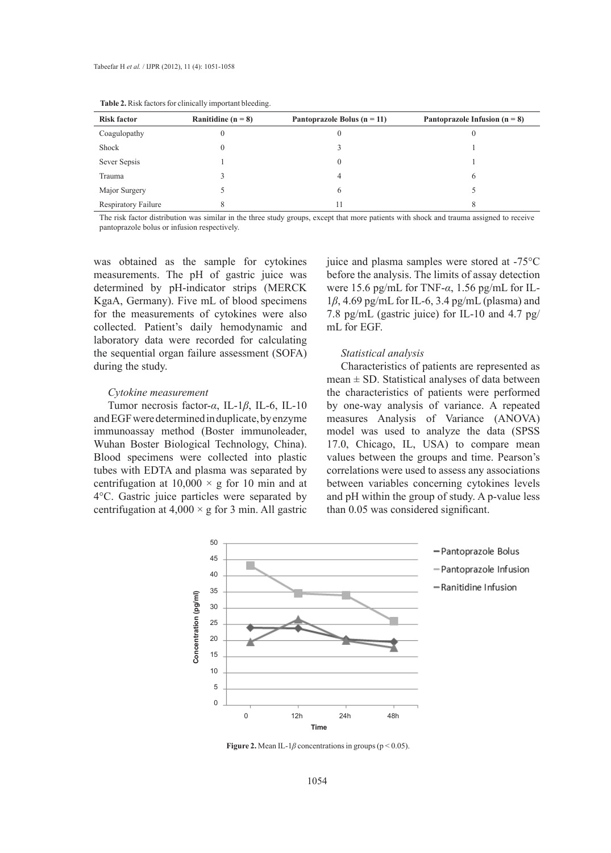| <b>Risk factor</b>  | Ranitidine ( $n = 8$ ) | Pantoprazole Bolus ( $n = 11$ ) | Pantoprazole Infusion $(n = 8)$ |
|---------------------|------------------------|---------------------------------|---------------------------------|
| Coagulopathy        |                        |                                 |                                 |
| Shock               |                        |                                 |                                 |
| Sever Sepsis        |                        |                                 |                                 |
| Trauma              |                        |                                 | 6                               |
| Major Surgery       |                        | 6                               |                                 |
| Respiratory Failure |                        |                                 |                                 |

| <b>Table 2.</b> Risk factors for clinically important bleeding. |  |  |
|-----------------------------------------------------------------|--|--|
|-----------------------------------------------------------------|--|--|

The risk factor distribution was similar in the three study groups, except that more patients with shock and trauma assigned to receive pantoprazole bolus or infusion respectively.

was obtained as the sample for cytokines measurements. The pH of gastric juice was determined by pH-indicator strips (MERCK KgaA, Germany). Five mL of blood specimens for the measurements of cytokines were also collected. Patient's daily hemodynamic and laboratory data were recorded for calculating the sequential organ failure assessment (SOFA) during the study.

#### *Cytokine measurement*

Tumor necrosis factor-*α*, IL-1*β*, IL-6, IL-10 and EGF were determined in duplicate, by enzyme immunoassay method (Boster immunoleader, Wuhan Boster Biological Technology, China). Blood specimens were collected into plastic tubes with EDTA and plasma was separated by centrifugation at  $10,000 \times g$  for 10 min and at 4°C. Gastric juice particles were separated by centrifugation at  $4,000 \times g$  for 3 min. All gastric

juice and plasma samples were stored at -75°C before the analysis. The limits of assay detection were 15.6 pg/mL for TNF-*α*, 1.56 pg/mL for IL-1*β*, 4.69 pg/mL for IL-6, 3.4 pg/mL (plasma) and 7.8 pg/mL (gastric juice) for IL-10 and 4.7 pg/ mL for EGF.

## *Statistical analysis*

Characteristics of patients are represented as  $mean \pm SD$ . Statistical analyses of data between the characteristics of patients were performed by one-way analysis of variance. A repeated measures Analysis of Variance (ANOVA) model was used to analyze the data (SPSS 17.0, Chicago, IL, USA) to compare mean values between the groups and time. Pearson's correlations were used to assess any associations between variables concerning cytokines levels and pH within the group of study. A p-value less than 0.05 was considered significant.



**Figure 2.** Mean IL-1 $\beta$  concentrations in groups ( $p < 0.05$ ).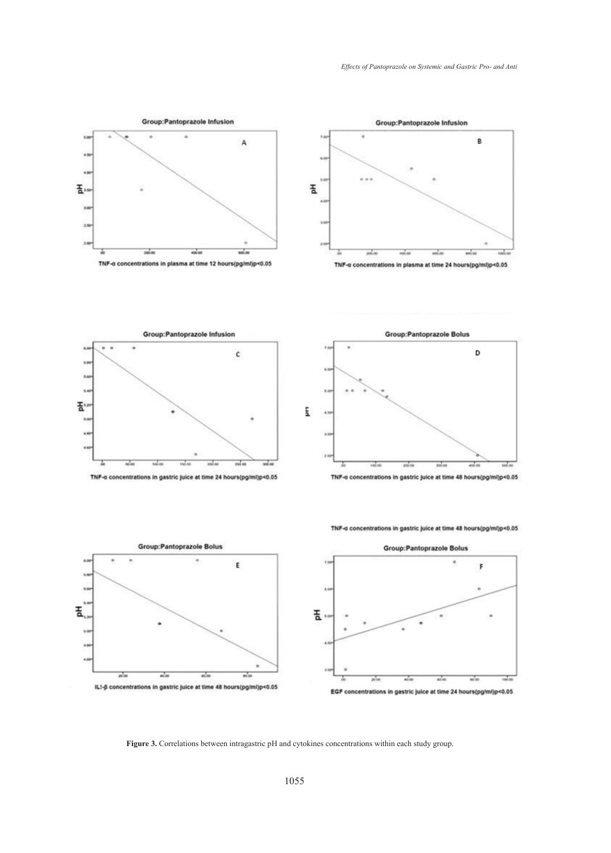



11  $\tilde{b}$ 玉.

 $\frac{1}{200}$ 



TNF-a concentrations in gastric juice at time 48 hours(pg/ml)p<0.05



**Figure 3.** Correlations between intragastric pH and cytokines concentrations within each study group.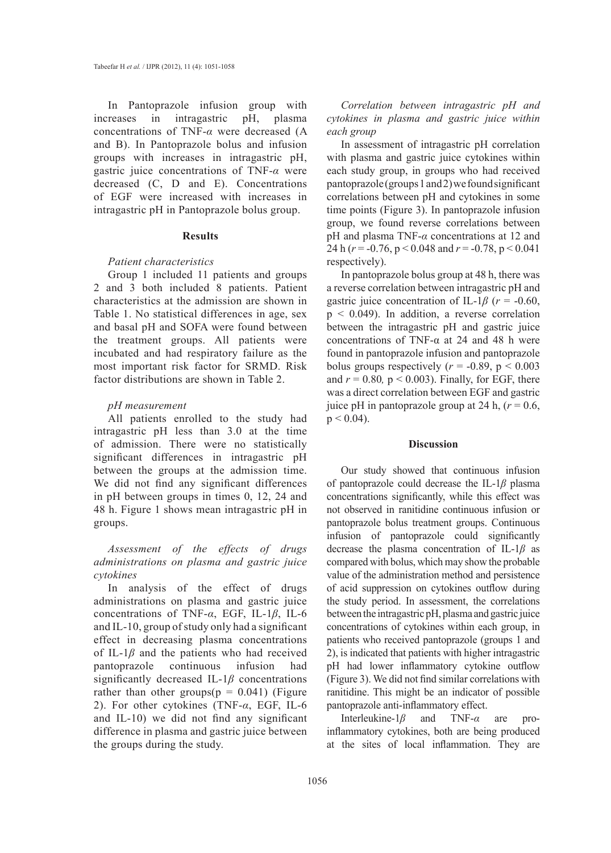In Pantoprazole infusion group with increases in intragastric pH, plasma concentrations of TNF-*α* were decreased (A and B). In Pantoprazole bolus and infusion groups with increases in intragastric pH, gastric juice concentrations of TNF-*α* were decreased (C, D and E). Concentrations of EGF were increased with increases in intragastric pH in Pantoprazole bolus group.

#### **Results**

## *Patient characteristics*

Group 1 included 11 patients and groups 2 and 3 both included 8 patients. Patient characteristics at the admission are shown in Table 1. No statistical differences in age, sex and basal pH and SOFA were found between the treatment groups. All patients were incubated and had respiratory failure as the most important risk factor for SRMD. Risk factor distributions are shown in Table 2.

# *pH measurement*

All patients enrolled to the study had intragastric pH less than 3.0 at the time of admission. There were no statistically significant differences in intragastric pH between the groups at the admission time. We did not find any significant differences in pH between groups in times 0, 12, 24 and 48 h. Figure 1 shows mean intragastric pH in groups.

*Assessment of the effects of drugs administrations on plasma and gastric juice cytokines*

In analysis of the effect of drugs administrations on plasma and gastric juice concentrations of TNF-*α*, EGF, IL-1*β*, IL-6 and IL-10, group of study only had a significant effect in decreasing plasma concentrations of IL-1*β* and the patients who had received pantoprazole continuous infusion had significantly decreased IL-1*β* concentrations rather than other groups( $p = 0.041$ ) (Figure 2). For other cytokines (TNF-*α*, EGF, IL-6 and IL-10) we did not find any significant difference in plasma and gastric juice between the groups during the study.

*Correlation between intragastric pH and cytokines in plasma and gastric juice within each group*

In assessment of intragastric pH correlation with plasma and gastric juice cytokines within each study group, in groups who had received pantoprazole (groups 1 and 2) we found significant correlations between pH and cytokines in some time points (Figure 3). In pantoprazole infusion group, we found reverse correlations between pH and plasma TNF-*α* concentrations at 12 and 24 h (*r* = -0.76, p < 0.048 and *r* = -0.78, p < 0.041 respectively).

In pantoprazole bolus group at 48 h, there was a reverse correlation between intragastric pH and gastric juice concentration of IL-1 $\beta$  ( $r = -0.60$ ,  $p \leq 0.049$ ). In addition, a reverse correlation between the intragastric pH and gastric juice concentrations of TNF- $\alpha$  at 24 and 48 h were found in pantoprazole infusion and pantoprazole bolus groups respectively  $(r = -0.89, p < 0.003)$ and  $r = 0.80$ ,  $p < 0.003$ ). Finally, for EGF, there was a direct correlation between EGF and gastric juice pH in pantoprazole group at 24 h,  $(r = 0.6)$ ,  $p < 0.04$ ).

# **Discussion**

Our study showed that continuous infusion of pantoprazole could decrease the IL-1*β* plasma concentrations significantly, while this effect was not observed in ranitidine continuous infusion or pantoprazole bolus treatment groups. Continuous infusion of pantoprazole could significantly decrease the plasma concentration of IL-1*β* as compared with bolus, which may show the probable value of the administration method and persistence of acid suppression on cytokines outflow during the study period. In assessment, the correlations between the intragastric pH, plasma and gastric juice concentrations of cytokines within each group, in patients who received pantoprazole (groups 1 and 2), is indicated that patients with higher intragastric pH had lower inflammatory cytokine outflow (Figure 3). We did not find similar correlations with ranitidine. This might be an indicator of possible pantoprazole anti-inflammatory effect.

Interleukine-1*β* and TNF-*α* are proinflammatory cytokines, both are being produced at the sites of local inflammation. They are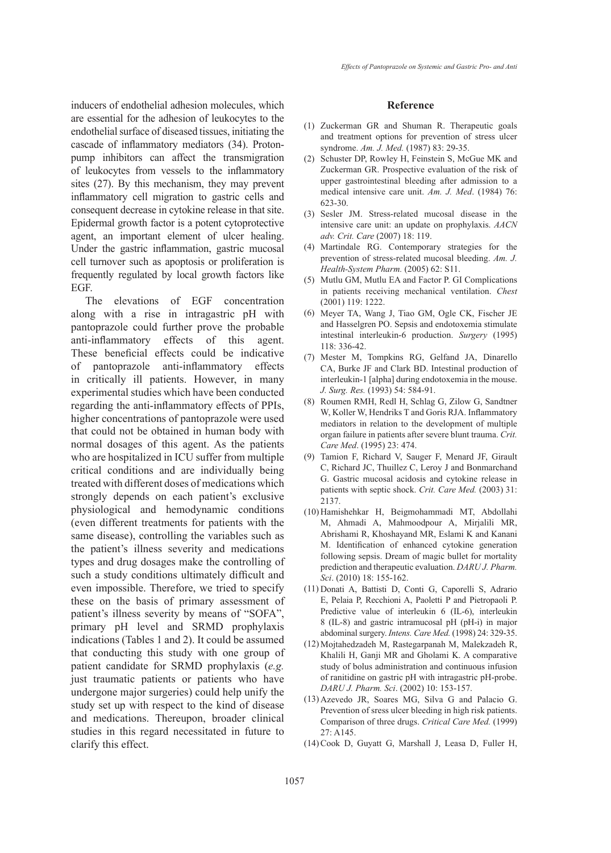inducers of endothelial adhesion molecules, which are essential for the adhesion of leukocytes to the endothelial surface of diseased tissues, initiating the cascade of inflammatory mediators (34). Protonpump inhibitors can affect the transmigration of leukocytes from vessels to the inflammatory sites (27). By this mechanism, they may prevent inflammatory cell migration to gastric cells and consequent decrease in cytokine release in that site. Epidermal growth factor is a potent cytoprotective agent, an important element of ulcer healing. Under the gastric inflammation, gastric mucosal cell turnover such as apoptosis or proliferation is frequently regulated by local growth factors like EGF.

The elevations of EGF concentration along with a rise in intragastric pH with pantoprazole could further prove the probable anti-inflammatory effects of this agent. These beneficial effects could be indicative of pantoprazole anti-inflammatory effects in critically ill patients. However, in many experimental studies which have been conducted regarding the anti-inflammatory effects of PPIs, higher concentrations of pantoprazole were used that could not be obtained in human body with normal dosages of this agent. As the patients who are hospitalized in ICU suffer from multiple critical conditions and are individually being treated with different doses of medications which strongly depends on each patient's exclusive physiological and hemodynamic conditions (even different treatments for patients with the same disease), controlling the variables such as the patient's illness severity and medications types and drug dosages make the controlling of such a study conditions ultimately difficult and even impossible. Therefore, we tried to specify these on the basis of primary assessment of patient's illness severity by means of "SOFA", primary pH level and SRMD prophylaxis indications (Tables 1 and 2). It could be assumed that conducting this study with one group of patient candidate for SRMD prophylaxis (*e.g.* just traumatic patients or patients who have undergone major surgeries) could help unify the study set up with respect to the kind of disease and medications. Thereupon, broader clinical studies in this regard necessitated in future to clarify this effect.

## **Reference**

- (1) Zuckerman GR and Shuman R. Therapeutic goals and treatment options for prevention of stress ulcer syndrome. *Am. J. Med.* (1987) 83: 29-35.
- Schuster DP, Rowley H, Feinstein S, McGue MK and Zuckerman GR. Prospective evaluation of the risk of upper gastrointestinal bleeding after admission to a medical intensive care unit. *Am. J. Med*. (1984) 76: 623-30. (2)
- (3) Sesler JM. Stress-related mucosal disease in the intensive care unit: an update on prophylaxis. *AACN adv. Crit. Care* (2007) 18: 119.
- Martindale RG. Contemporary strategies for the (4) prevention of stress-related mucosal bleeding. *Am. J. Health-System Pharm.* (2005) 62: S11.
- Mutlu GM, Mutlu EA and Factor P. GI Complications (5) in patients receiving mechanical ventilation. *Chest*  (2001) 119: 1222.
- Meyer TA, Wang J, Tiao GM, Ogle CK, Fischer JE (6) and Hasselgren PO. Sepsis and endotoxemia stimulate intestinal interleukin-6 production. *Surgery* (1995) 118: 336-42.
- (7) Mester M, Tompkins RG, Gelfand JA, Dinarello CA, Burke JF and Clark BD. Intestinal production of interleukin-1 [alpha] during endotoxemia in the mouse. *J. Surg. Res.* (1993) 54: 584-91.
- Roumen RMH, Redl H, Schlag G, Zilow G, Sandtner (8) W, Koller W, Hendriks T and Goris RJA. Inflammatory mediators in relation to the development of multiple organ failure in patients after severe blunt trauma. *Crit. Care Med*. (1995) 23: 474.
- Tamion F, Richard V, Sauger F, Menard JF, Girault (9) C, Richard JC, Thuillez C, Leroy J and Bonmarchand G. Gastric mucosal acidosis and cytokine release in patients with septic shock. *Crit. Care Med.* (2003) 31: 2137.
- (10) Hamishehkar H, Beigmohammadi MT, Abdollahi M, Ahmadi A, Mahmoodpour A, Mirjalili MR, Abrishami R, Khoshayand MR, Eslami K and Kanani M. Identification of enhanced cytokine generation following sepsis. Dream of magic bullet for mortality prediction and therapeutic evaluation. *DARU J. Pharm. Sci*. (2010) 18: 155-162.
- (11) Donati A, Battisti D, Conti G, Caporelli S, Adrario E, Pelaia P, Recchioni A, Paoletti P and Pietropaoli P. Predictive value of interleukin 6 (IL-6), interleukin 8 (IL-8) and gastric intramucosal pH (pH-i) in major abdominal surgery. *Intens. Care Med.* (1998) 24: 329-35.
- (12) Mojtahedzadeh M, Rastegarpanah M, Malekzadeh R, Khalili H, Ganji MR and Gholami K. A comparative study of bolus administration and continuous infusion of ranitidine on gastric pH with intragastric pH-probe. *DARU J. Pharm. Sci*. (2002) 10: 153-157.
- Azevedo JR, Soares MG, Silva G and Palacio G. (13) Prevention of sress ulcer bleeding in high risk patients. Comparison of three drugs. *Critical Care Med.* (1999) 27: A145.
- (14) Cook D, Guyatt G, Marshall J, Leasa D, Fuller H,